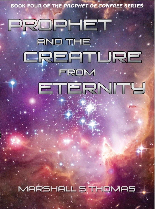**BOOK FOUR OF THE PROPHET OF CONFREE SERIES** 

# PROPHET **AND THE** CREATURE **FROM ETERNITY**

MARSHALL S THOMAS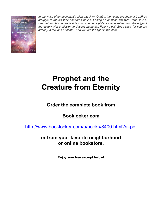

*In the wake of an apocalyptic alien attack on Quaba, the young prophets of ConFree struggle to rebuild their shattered nation. Facing an endless war with Dark Haven, Prophet and his comrade Arie must counter a pitiless shape shifter from the edge of the galaxy with a mission to destroy humanity. Fear no evil, Bees says, for you are already in the land of death - and you are the light in the dark.*

## **Prophet and the Creature from Eternity**

### **Order the complete book from**

### **Booklocker.com**

http://www.booklocker.com/p/books/8400.html?s=pdf

**or from your favorite neighborhood or online bookstore.** 

**Enjoy your free excerpt below!**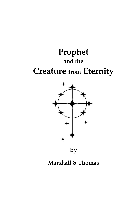## **Prophet and the Creature from Eternity**



**by** 

### **Marshall S Thomas**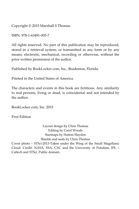Copyright © 2015 Marshall S Thomas

ISBN: 978-1-63491-005-7

All rights reserved. No part of this publication may be reproduced, stored in a retrieval system, or transmitted in any form or by any means, electronic, mechanical, recording or otherwise, without the prior written permission of the author.

Published by BookLocker.com, Inc., Bradenton, Florida.

Printed in the United States of America.

The characters and events in this book are fictitious. Any similarity to real persons, living or dead, is coincidental and not intended by the author.

BookLocker.com, Inc. 2015

First Edition

Layout design by Chris Thomas Editing by Carol Woods Starmaps by Hatton Slayden Shields and seals by Chris Thomas Cover photo – STSci-2013-Taken under the Wing of the Small Magellanic Cloud. Credit: NASA, ESA, CXC and the University of Potsdam, JPL – Caltech and STSci. Public domain.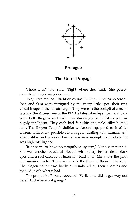

**Prologue** 

#### **The Eternal Voyage**

"There it is," Joan said. "Right where they said." She peered intently at the glowing d-screen.

"Yes," Sara replied. "Right on course. But it still makes no sense." Joan and Sara were intrigued by the fuzzy little spot, their first visual image of the far-off target. They were in the cockpit of a recon tacship, the *Accord*, one of the BPSA's latest starships. Joan and Sara were both Biogens and each was stunningly beautiful as well as highly intelligent. They each had fair skin and pale, silky blonde hair. The Biogen People's Solidarity Accord equipped each of its citizens with every possible advantage in dealing with humans and aliens alike, and physical beauty was easy enough to produce. So was high intelligence.

"It appears to have no propulsion system," Mina commented. She was another beautiful Biogen, with sultry brown flesh, dark eyes and a soft cascade of luxuriant black hair. Mina was the pilot and mission leader. There were only the three of them in the ship. The Biogen nation was badly outnumbered by their enemies and made do with what it had.

"No propulsion?" Sara repeated. "Well, how did it get way out here? And where is it going?"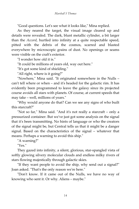"Good questions. Let's see what it looks like," Mina replied.

As they neared the target, the visual image cleared up and details were revealed. The dark, blunt metallic cylinder, a bit larger than the *Accord*, hurtled into infinity at a quite respectable speed, pitted with the debris of the cosmos, scarred and blasted everywhere by microscopic grains of dust. No openings or seams were visible on the craft's exterior.

"I wonder how old it is."

"It could be millions of years old, way out here."

"It's got some kind of shielding."

"All right, where is it going?"

"Nowhere," Mina said. "It originated somewhere in the Nulls – can't tell where or when – and it's headed for the galactic rim. It has evidently been programmed to leave the galaxy since its projected course avoids all stars with planets. Of course, at current speeds that may take – well, millions of years."

"Why would anyone do that? Can we see any signs of who built this starcraft?"

"Not so far," Mina said. "And it's not really a starcraft – only a pressurized container. But we've just got some analysis on the signal that it's been transmitting. No hints of language or who the creators of the signal might be, but Central tells us that it might be a danger signal. Based on the characteristics of the signal – whatever that means. Perhaps a warning to avoid this ship."

"A warning?"

"Yes."

They gazed into infinity, a silent, glorious, star-spangled vista of softly glowing silvery molecular clouds and endless milky rivers of stars flowing majestically through galactic skies.

"If they want people to avoid the ship, why send out a signal?" Joan asked. "That's the only reason we're here."

"Don't know. If it came out of the Nulls, we have no way of knowing who sent it. Or why. Aliens – maybe."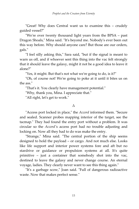"Great! Why does Central want us to examine this – crudely guided vessel?"

"We're over twenty thousand light years from the BPSA – past Dragon Shoals," Mina said. "It's beyond me. Nobody's ever been out this way before. Why should anyone care? But those are our orders, gals."

"I feel silly asking this," Sara said, "but if the signal is meant to warn us off, and if whoever sent this thing into the vac felt strongly that it should leave the galaxy, might it not be a good idea to leave it alone?"

"Yes, it might. But that's not what we're going to do, is it?"

"Oh, of course not! We're going to poke at it until it bites us on the ass."

"That's it. You clearly have management potential."

"Why, thank you, Mina. I appreciate that."

"All right, let's get to work."

#### Δ

"Access port locked in place," the *Accord* informed them. "Secure and sealed. Scanner probes mapping interior of the target, see the tacmap." They had found the entry port without a problem. It was circular so the *Accord'*s access port had no trouble adjusting and locking on. Now all they had to do was make the entry.

"Strange," Mina said. "The central portion of the ship seems designed to hold the payload – or cargo. And not much else. Looks like life support and interior power systems fore and aft but no stardrive or guidance or propulsion systems at all. It's quite primitive – just a container that somebody shot into the vac, destined to leave the galaxy and never change course. An eternal voyage, ladies. They clearly never want to see this thing again."

"It's a garbage scow," Joan said. "Full of dangerous radioactive waste. Now that makes perfect sense."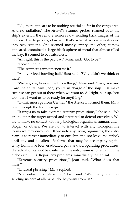"No, there appears to be nothing special so far in the cargo area. And no radiation." The *Accord'*s scanner probes roamed over the ship's exterior, the remote sensors now sending back images of the interior. The large cargo bay – if that's what it was – was divided into two sections. One seemed mostly empty, the other, it now appeared, contained a large black sphere of metal that almost filled the bay. It seemed to be featureless.

"All right, this is the payload," Mina said. "Got to be!"

"Look at that!"

"The scanners cannot penetrate it."

"An oversized bowling ball," Sara said. "Why didn't we think of that?"

"We're going to examine this – thing," Mina said. "Sara, you and I are the entry team. Joan, you're in charge of the ship. Just make sure we can get out of there when we want to. All right, suit up. You too, Joan. I want us to be ready for anything."

"Q-link message from Central," the *Accord* informed them. Mina read through the text message.

"It urges us to take extreme security precautions," she said. "We are to enter the target armed and prepared to defend ourselves. We are to make no contact with any biological organisms, human, alien, Biogen or others. We are not to interact with any biological life forms we may encounter. If we note any living organisms, the entry team is to retreat immediately to our ship and not leave the airlock until any and all alien life forms that may be accompanying the entry team have been eradicated per standard operating procedures. If eradication cannot be confirmed, the entry team is to remain in the airlock until it is. Report any problems immediately to Central."

"Extreme security precautions," Joan said. "What does that mean?"

"Unusual phrasing," Mina replied.

"No contact, no interaction," Joan said. "Well, why are they sending us here at all? What do they want from us?"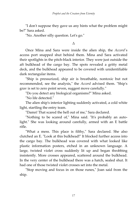"I don't suppose they gave us any hints what the problem might be?" Sara asked.

"No. Another silly question. Let's go."

#### Δ

Once Mina and Sara were inside the alien ship, the *Accord'*s access port snapped shut behind them. Mina and Sara activated their spotlights in the pitch-black interior. They were just outside the aft bulkhead of the cargo bay. The spots revealed a gritty metal deck, and the bulkhead appeared to be covered with unidentifiable dark rectangular items.

"Ship is pressurized, ship air is breathable, nontoxic but not recommended, see the analysis," the *Accord* advised them. "Ship's grav is set to zero point seven, suggest move carefully."

"Do you detect any biological organisms?" Mina asked.

"No life detected."

The alien ship's interior lighting suddenly activated, a cold white light, startling the entry team.

"Damn! That scared the hell out of me," Sara declared.

"Nothing to be scared of," Mina said. "It's probably an autolight." She was looking around carefully, armed with an E battle rifle.

"What a mess. This place is filthy," Sara declared. She also clutched an E. "Look at this bulkhead!" It blocked further access into the cargo bay. The bulkhead was covered with what looked like plastic information posters, etched in an unknown language. A large, twisted violet cross suddenly lit up and began throbbing insistently. More crosses appeared, scattered around the bulkhead. In the very center of the bulkhead there was a hatch, sealed shut. It had one of those twisted violet crosses set into the metal.

"Stop moving and focus in on those runes," Joan said from the ship.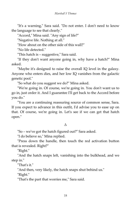"It's a warning," Sara said. "Do not enter. I don't need to know the language to see that clearly."

"Accord," Mina said. "Any sign of life?"

"Negative life. Nothing at all."

"How about on the other side of this wall?"

"No life detected."

"This hatch is – suggestive," Sara said.

"If they don't want anyone going in, why have a hatch?" Mina asked.

"Maybe it's designed to raise the overall IQ level in the galaxy. Anyone who enters dies, and her low IQ vanishes from the galactic genetic pool."

"So what do you suggest we do?" Mina asked.

"We're going in. Of course, we're going in. You don't want us to go in, just order it. And I guarantee I'll get back to the Accord before you do."

"You are a continuing reassuring source of common sense, Sara. If you expect to advance in this outfit, I'd advise you to ease up on that. Of course, we're going in. Let's see if we can get that hatch open."

#### Δ

"So – we've got the hatch figured out?" Sara asked.

"I do believe so," Mina replied.

"Press down the handle, then touch the red activation button that is revealed. Right?"

"Right."

"And the hatch snaps left, vanishing into the bulkhead, and we step in."

"That's it."

"And then, very likely, the hatch snaps shut behind us."

"Right."

"That's the part that worries me," Sara said.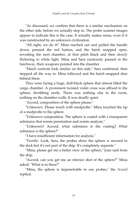"As discussed, we confirm that there is a similar mechanism on the other side, before we actually step in. The probe scanner images appear to indicate this is the case. It actually makes sense, even if it was constructed by an unknown civilization.

"All right, we do it!" Mina reached out and pulled the handle down, pressed the red button, and the hatch snapped open, revealing the next chamber, at first pitch black and then slowly flickering to white light. Mina and Sara cautiously paused in the hatchway, their weapons pointed into the chamber.

"Hatch controls look similar on this side," Sara confirmed, then stepped all the way in. Mina followed and the hatch snapped shut behind them.

They were facing a huge, dull-black sphere that almost filled the cargo chamber. A prominent twisted violet cross was affixed to the sphere, throbbing eerily. There was nothing else in the room, nothing on the chamber walls. It was deadly quiet.

"Accord, composition of the sphere please."

"Unknown. Please touch with medprobe." Mina touched the tip of a medprobe to the sphere.

"Unknown composition. The sphere is coated with a transparent substance that resists penetration and resists analysis."

"Unknown? Accord, what substance is the coating? What substance is the sphere?"

"I have insufficient information for analysis."

"Terrific. Look, Sara, the probes show the sphere is secured to the deck but it's not part of the ship. It's completely separate."

"Mina, please get me a better view of the sphere," Joan said from the ship.

"Accord, can you get me an interior shot of the sphere?" Mina asked. "What is in there?"

"Mina, the sphere is impenetrable to our probes," the *Accord* replied.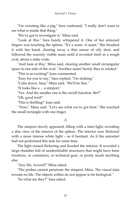"I'm sweating like a pig," Sara confessed. "I really don't want to see what is inside that thing."

"We've got to investigate it," Mina said.

"Look at this." Sara barely whispered it. One of her armored fingers was touching the sphere. "It's a seam. A seam." She brushed it with her hand, clearing away a thin smear of oily dust, and followed the scarcely visible seam until it revealed itself as a rough oval, about a mike wide.

"And look at this," Mina said, clearing another small rectangular space to one side of the oval. "Another seam! Surely they're related."

"This is so exciting!" Joan commented.

"Easy for you to say," Sara replied. "I'm shaking."

"Calm down, Sara," Mina said. "We'll be fine."

"It looks like a ... a simport."

"Yes. And the smaller one is the on/off function. Bet?"

"Oh, good lord!"

"This is thrilling!" Joan said.

 "Now," Mina said. "Let's see what we've got here." She touched the small rectangle with one finger.

#### Δ

The simport slowly appeared, filling with a faint light, revealing a dim view of the interior of the sphere. The interior now flickered with a more intense white light – as if hesitant. As if the autostart had not performed this task for some time.

The light ceased flickering and flooded the interior. It revealed a large chamber full of unidentifiable structures that might have been furniture, or containers, or technical gear, or pretty much anything else.

"Any life, Accord?" Mina asked.

"The probes cannot penetrate the simport, Mina. The visual data reveals no life. The objects within do not appear to be biological."

"So what are they?" Sara asked.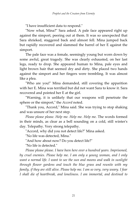"I have insufficient data to respond."

"Now what, Mina?" Sara asked. A pale face appeared right up against the simport, peering out at them. It was so unexpected that Sara shrieked, staggered back and almost fell. Mina jumped back but rapidly recovered and slammed the barrel of her E against the simport.

The pale face was a female, seemingly young but worn down by some awful, great tragedy. She was clearly exhausted, on her last legs, ready to drop. She appeared human to Mina, pale eyes and light brown hair that seemed dry and dirty. She placed two hands against the simport and her fingers were trembling. It was almost like a plea.

"Who are you!" Mina demanded, still covering the apparition with her E. Mina was terrified but did not want Sara to know it. Sara recovered and pointed her E at the girl.

"Warning, it is unlikely that our weapons will penetrate the sphere or the simport," the *Accord* noted.

"Thank you, Accord," Mina said. She was trying to stop shaking and was unsure of her next step.

Please please please. Help me. Help me. Help me. The words formed in their minds, as clear as a bell sounding on a cold, still winter's day. Telepathy. Very strong telepathy.

"Accord, why did you not detect life?" Mina asked.

"No life was detected, Mina."

"And how about now? Do you detect life?"

"No life is detected."

*Please please please. I have been here over a hundred years. Imprisoned, by cruel enemies. Please help me. I am only a young woman, and I only want a normal life. I want to see the sun and moons and walk in sunlight through flower gardens and touch the blue grass and reunite with my family, if they are still alive. Please help me. I am so very, very weary. I fear I shall die of heartbreak, and loneliness. I am immortal, and destined to*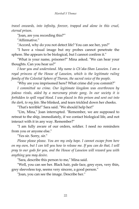*travel onwards, into infinity, forever, trapped and alone in this cruel, eternal prison.* 

"Joan, are you recording this?"'

"Affirmative."

"Accord, why do you not detect life? You can see her, yes?"

"I have a visual image but my probes cannot penetrate the sphere. She appears to be biological, but I cannot confirm it."

"What is your name, prisoner?" Mina asked. "We can hear your thoughts. Can you hear us?"

*I hear you and understand. My name is Ch'aka-Shan Lasseion. I am a royal princess of the House of Lasseion, which is the legitimate ruling family of the Celestial Sphere of Thoran, the sacred voice of the people.* 

"Why are you imprisoned here? What crime did you commit?"

*I committed no crime. Our legitimate kingdom was overthrown by jealous rivals, aided by a mercenary pirate gang. In our society it is forbidden to spill royal blood. I was placed in this prison and sent out into the dark, to my fate.* She blinked, and tears trickled down her cheeks.

"That's terrible!" Sara said. "We should help her!"

"Um, Mina," Joan interrupted. "Remember, we are supposed to retreat to the ship, immediately, if we contact biological life, and not interact with it in any way. Remember?"

"I am fully aware of our orders, soldier. I need no reminders from you or anyone else."

"Yes sir. Sorry, sir."

*Please please please. You are my only hope. I cannot escape from here on my own, but I can tell you how to release me. If you can do that, I will pray to our gods for you, and the House of Lasseion will reward you with anything you may desire.* 

"Sara, describe this person to me," Mina said.

"Well, you can see her. Black hair, pale face, grey eyes, very thin, grey sleeveless top, seems very sincere, a good person."

"Joan, you can see the image. Describe her."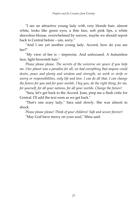"I see an attractive young lady with very blonde hair, almost white, looks like green eyes, a thin face, soft pink lips, a white sleeveless blouse, overwhelmed by sorrow, maybe we should report back to Central before – um, sorry."

"And I see yet another young lady. Accord, how do you see her?"

"My view of her is – imprecise. And unfocused. A featureless face, light brownish hair."

*Please please please. The secrets of the universe are yours if you help me. Our planet was a paradise for all, we had everything that anyone could desire, peace and plenty and wisdom and strength, no work or strife or worry or responsibilities, only life and love. I can do all that, I can change the future for you and for your worlds. I beg you, do the right thing, for me, for yourself, for all your nations, for all your worlds. Change the future!* 

"Sara, let's get back to the Accord. Joan, prep me a flash critic for Central. I'll add the text soon as we get back."

"That's one scary lady," Sara said slowly. She was almost in shock.

*Please please please! Think of your children! Safe and secure forever!*  "May God have mercy on your soul," Mina said.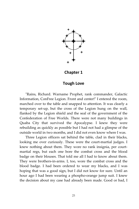

**Chapter 1** 

#### **Tough Love**

"Rains, Richard. Warname Prophet, rank commander, Galactic Information, ConFree Legion. Front and center!" I entered the room, marched over to the table and snapped to attention. It was clearly a temporary set-up, but the cross of the Legion hung on the wall, flanked by the Legion shield and the seal of the government of the Confederation of Free Worlds. There were not many buildings in Quaba City that survived the Apocalypse. I knew they were rebuilding as quickly as possible but I had not had a glimpse of the outside world in two months, and I did not even know where I was.

Three Legion officers sat behind the table, clad in their blacks, looking me over curiously. These were the court-martial judges. I knew nothing about them. They wore no rank insignia, per courtmartial regs, but each one bore the combat cross and the blood badge on their blouses. That told me all I had to know about them. They were brothers-in-arms. I, too, wore the combat cross and the blood badge. I had been ordered to wear my blacks, and I was hoping that was a good sign, but I did not know for sure. Until an hour ago I had been wearing a phospho-orange jump suit. I knew the decision about my case had already been made. Good or bad, I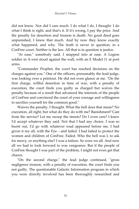did not know. Nor did I care much. I do what I do, I thought. I do what I think is right, and that's it. If it's wrong, I pay the price. And the penalty for desertion and treason is death. No good deed goes unpunished, I knew that much. And by now they know exactly what happened, and why. The truth is never in question, in a ConFree court. Neither is the law. All that is in question is justice.

"At ease," somebody said. I snapped into at ease. A Legion soldier in A-vest stood against the wall, with an E Model 11 at port arms.

"Commander Prophet, the court has reached decisions on the charges against you." One of the officers, presumably the lead judge, was looking over a printout. He did not even glance at me. "On the first charge, willful desertion in time of war, with a penalty of execution, the court finds you guilty as charged but waives the penalty because of a result that advanced the interests of the people of ConFree and convinced the court of your courage and willingness to sacrifice yourself for the common good."

Waives the penalty, I thought. What the hell does that mean? No execution, all right, but what do they do with me? Banishment? Cast from the service? Let me sweep the streets? Do I even care? I knew I'd accept whatever they said. Not that I had any choice. I was so burnt out, I'd go with whatever road appeared before me. I had given it my all, with the Eye – and failed. I had failed to protect the women and children of ConFree. Failed. Who the hell was I, to ask for mercy, or anything else? I was a failure. So were we all. And now all we had to look forward to was vengeance. But if the people of ConFree thought I was part of the problem, I might not even get that chance.

"On the second charge," the lead judge continued, "gross negligence treason, with a penalty of execution, the court finds you not guilty. The questionable Galactic Information program in which you were directly involved has been thoroughly researched and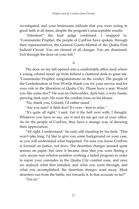investigated, and your brainscans indicate that you were acting in good faith at all times, despite the program's unacceptable results.

"Attention!" the lead judge continued. I snapped to. "Commander Prophet, the people of ConFree have spoken, through their representatives, the General Courts-Martial of the Quaba First Judicial Circuit. You are cleared of all charges. You are dismissed. Exit through the door on your left."

Δ

The door on my left opened into a comfortable office mod where a young colonel stood up from behind a cluttered desk to greet me. "Commander Prophet, congratulations on the verdict. The people of the Confederation of Free Worlds thank you for your service and for your role in the liberation of Quaba City. Please have a seat. Would you like some dox?" He was an Outworlder, dark hair, a wiry frame, piercing dark eyes. He wore the combat cross on his blouse.

"No, thank you, Colonel, I'd rather stand."

"Are you sure? A little dox? It's over – best to relax."

"It's quite all right," I said. Get it the hell over with, I thought. Whatever you have to say, say it and let me get out of your office. As for the people of ConFree, they have a strange way of showing their appreciation.

"All right, I understand," he said, still standing by his desk. "This won't take long. I'd like to give you some background on your case, so you will understand what happened. I'm sure you know ConFree is focused on justice, not laws. The desertion charges seemed quite serious on paper, but once it became clear that you were fleeing a very secure rear echelon position working a failed program in order to rejoin your comrades in the Quaba City combat zone, and once we realized what that entailed, and what you went through, and what you accomplished, the desertion charges went away. Most deserters run from the battle, not towards it. Is that accurate so far?"

"Yes sir."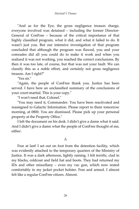"And as for the Eye, the gross negligence treason charge, everyone involved was detained – including the former Director-General of ConFree – because of the critical importance of that highly classified program, what it did, and what it failed to do. It wasn't just you. But our intensive investigation of that program concluded that although the program was flawed, you and your comrades did all you could do to make it work and when you realized it was not working, you reached the correct conclusions. By then it was too late, of course, but that was not your fault. We can classify this as a noble effort, and certainly not gross negligence treason. Am I right?"

"Yes sir."

"Again, the people of ConFree thank you. Justice has been served. I have here an unclassified summary of the conclusions of your court-martial. This is your copy."

"I won't need that, Colonel."

"You may need it, Commander. You have been reactivated and reassigned to Galactic Information. Please report to them tomorrow morning, at 0800. You are dismissed. Please pick up your personal property at the Property Office."

I left the document on his desk. I didn't give a damn what it said. And I didn't give a damn what the people of ConFree thought of me, either.

Δ

Free at last! I set out on foot from the detention facility, which was evidently attached to the temporary quarters of the Ministry of Justice. It was a dark afternoon, lightly raining. I felt terrific, clad in my blacks, coldcoat and field hat and boots. They had returned my IDs and other miscellany – even my vac gun, which now rested comfortably in my jacket pocket holster. Free and armed. I almost felt like a regular ConFree citizen. Almost.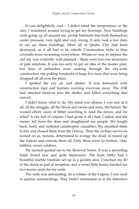It was delightfully cool – I didn't mind the temperature or the rain. I wandered around trying to get my bearings. New buildings were going up all around me, prefab habmods that built themselves under pressure, very light and very strong. It only took a few days to set up these buildings. Most all of Quaba City had been destroyed, so it all had to be rebuilt. Construction techs in blue coveralls were swarming everywhere. Whatever was to replace the old city was evidently well planned – these were low-rise structures of pale simstone. It was too early to get an idea of the master plan, but lines of airhaulers were snaking through the city-wide construction site pulling hundreds of large live trees that were being dropped off all over the place.

I spotted the city air raid shelter. It was festooned with construction tape and barriers warning everyone away. The ASR had attacked head-on into the shelter and killed everything that moved.

I didn't know what to do. My mind was aflame. I was sick of it all, all the struggle, all the blood and sweat and tears, the hatred, the wasted effort, years of bitter searching to read the future, and for what? A city full of corpses. I had given it all I had, I failed, and the enemy fell from the skies and slaughtered our people. We fought back, hard, and suffered catastrophic casualties. We smashed them to bits and chased them from the Outvac. Then the civilian survivors turned on us, furious, determined to avenge the dead, to round up the traitors and execute them all. Only there were no traitors. Only faithful, weary soldiers.

My tacmod guided me to the Renewal Suites. It was a sprawling hotel, brand new and quite impressive. The front lobby had a beautiful marble fountain set up in a garden area. I touched my ID to the check-in pad at reception, and a sweet little honey handed me two access cards for my suite.

The suite was astounding. As a soldier of the Legion, I was used to spartan surroundings. They hadn't mistreated us at the detention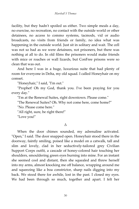facility, but they hadn't spoiled us either. Two simple meals a day, no exercise, no recreation, no contact with the outside world or other detainees, no access to commo systems, tacmods, vid or audio broadcasts, no visits from friends or family, no idea what was happening in the outside world. Just sit in solitary and wait. The cell was not so bad as we were detainees, not prisoners, but there was nothing at all to do. In old films the prisoners would make friends with mice or roaches or wall lizards, but ConFree prisons were so clean that was out.

And here I was in a huge, luxurious suite that had plenty of room for everyone in Delta, my old squad. I called Honeyhair on my comset.

"Honeyhair," I said, "I'm out."

"Prophet! Oh my God, thank you. I've been praying for you every day."

"I'm at the Renewal Suites, right downtown. Please come."

"The Renewal Suites? Oh. Why not come here, come home?"

"No. Please come here."

"All right, sure, be right there!"

"Love you!"

#### Δ

When the door chimes sounded, my adrenaline activated. "Open," I said. The door snapped open. Honeyhair stood there in the doorway, faintly smiling, poised like a model on a catwalk, tall and slim and lovely, clad in her seductively-tailored grey Civilian Support Corps outfit, a cascade of honey-colored hair touching her shoulders, smouldering green eyes burning into mine. For an instant she seemed cool and distant, then she squealed and threw herself into my arms, almost knocking me off balance, wrapping around me and squeezing like a boa constrictor, sharp nails digging into my back. We stood there for awhile, lost in the past. I closed my eyes. We had been through so much, together and apart. I felt her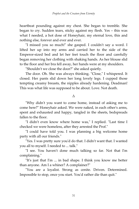heartbeat pounding against my chest. She began to tremble. She began to cry. Sudden tears, sticky against my flesh. Yes – this was what I needed, a hot dose of Honeyhair, my eternal love, this and nothing else, forever and ever and ever.

"I missed you so much!" she gasped. I couldn't say a word. I lifted her up into my arms and carried her to the side of the Emperor-sized bed and let her feet touch the floor and carefully began removing her clothing with shaking hands. As her blouse slid to the floor and her bra fell away, her hands were at my shoulders.

"Shouldn't we close the door?" she asked quietly.

The door. Oh. She was always thinking. "Close," I whispered. It closed. Her pants slid down her long lovely legs. I cupped those tempting creamy breasts, the nipples already hardening. Deadman! This was what life was supposed to be about. Love. Not death.

#### Δ

"Why didn't you want to come home, instead of asking me to come here?" Honeyhair asked. We were naked, in each other's arms, spent and exhausted and happy, tangled in the sheets, bedspreads fallen to the floor.

"I didn't even know where home was," I replied. "Last time I checked we were homeless, after they arrested the Prof."

"I could have told you. I was planning a big welcome home party with all our friends."

"Yes. I was pretty sure you'd do that. I didn't want that. I wanted you all to myself. I needed to ... talk."

"I see. You haven't done much talking so far. Not that I'm complaining."

"It's just that I'm ... in bad shape. I think you know me better than anyone. Am I a whiner? A complainer?"

"You are a loyalist. Strong as cenite. Driven. Determined. Impossible to stop, once you start. You'd rather die than quit."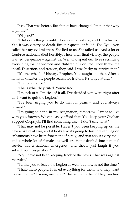"Yes. That was before. But things have changed. I'm not that way anymore."

"Why not?"

"I did everything I could. They even killed me, and I ... returned. Yes, it was victory or death. But our quest – it failed. The Eye – you called her my evil mistress. She lied to us. She failed us. And a lot of ConFree nationals died horribly. Then, after final victory, the people wanted vengeance – against us. We, who spent our lives sacrificing everything for the women and children of ConFree. They threw me in jail. Desertion, and treason, they said. I was lucky to survive that."

"It's the wheel of history, Prophet. You taught me that. After a national disaster the people search for traitors. It's only natural."

"I'm not a traitor."

"That's what they ruled. You're free."

"I'm sick of it. I'm sick of it all. I've decided you were right after all. I want to quit the Legion."

"I've been urging you to do that for years – and you always refused."

"I'm going to hand in my resignation, tomorrow. I want to live with you, forever. We can easily afford that. You keep your Civilian Support Corps job. I'll find something else – I don't care what."

"That may not be possible. Haven't you been keeping up on the news? We're at war, and it looks like it's going to last forever. Legion enlistments have been frozen indefinitely, and just about every male and a whole lot of females as well are being drafted into national service. It's a national emergency, and they'll just laugh if you submit your resignation."

"No, I have not been keeping track of the news. That was against the rules."

"I'd like you to leave the Legion as well, but now is not the time."

"I hate these people. I risked everything for them, and they want to execute me? Tossing me in jail? The hell with them! They can find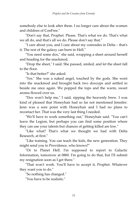somebody else to look after them. I no longer care about the women and children of ConFree."

"Don't say that, Prophet. Please. That's what we do. That's what we all do, and that's all we do. Please don't say that."

"I care about you, and I care about my comrades in Delta – that's it. The rest of the galaxy can burn in Hell."

"You need some dox," she said, wrapping a sheet around herself and heading for the snackmod.

"Drop the sheet," I said. She paused, smiled, and let the sheet fall to the floor.

"Is that better?" she asked.

"Yes." She was a naked angel, touched by the gods. She went into the snackmod and brought back two doxcups and settled in beside me once again. We popped the tops and the warm, sweet aroma flowed over us.

"Dox won't help me," I said, sipping the heavenly brew. I was kind of pleased that Honeyhair had so far not mentioned Jennifer. Jenn was a sore point with Honeyhair and I had no plans to recontact her. That was the very last thing I needed.

"We'll have to work something out," Honeyhair said. "You can't leave the Legion, but perhaps you can find some position where they can use your talents but chances of getting killed are low."

"Like what? That's what we thought we had with Delta Research, at first."

"Like training. You can teach the kids, the new generation. They might send you to Providence, who knows?"

"Or to Planet Hell. I'm supposed to report to Galactic Information, tomorrow at 0800. I'm going to do that, but I'll submit my resignation soon as I get there."

"That won't work. You'll have to accept it, Prophet. Whatever they want you to do."

"So nothing has changed."

"You have to be realistic."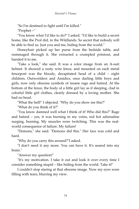"So I'm destined to fight until I'm killed."

"Prophet –"

"You know what I'd like to do?" I asked. "I'd like to build a secret home, like the Prof did, in the Wildlands. So secret that nobody will be able to find us. Just you and me, hiding from the world."

Honeyhair picked up her purse from the bedside table, and rummaged through it. She extracted a crumpled printout, and handed it to me.

"Take a look," she said. It was a color image from an A-suit helmet. It showed a rusty wire fence, and mounted on each metal fencepost was the bloody, decapitated head of a child – eight children, Outworlders and Assidics, once darling little boys and girls, now only obscene symbols of insane rage and hatred. At the bottom of the fence, the body of a little girl lay as if sleeping, clad in colorful little girl clothes, clearly dressed by a loving mother. She had no head.

"What the hell!" I objected. "Why do you show me this?"

"What do you think of it?"

"You know damned well what I think of it! Who did this?" Rage and hatred – yes, it was burning in my veins, red hot adrenaline surging, burning. My muscles were twitching. This was the realworld consequence of failure. My failure!

"Demons," she said. "Demons did this." Her face was cold and hard.

"Why do you carry this around?"I asked.

"I don't need it any more. You can have it. It's seared into my brain."

"Answer my question!"

"It's my motivation. I take it out and look it over every time I consider something stupid – like hiding from the world. Take it!"

I couldn't stop staring at that obscene image. Now my eyes were filling with tears, blurring my view.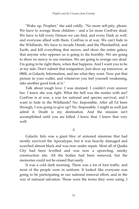"Wake up, Prophet," she said coldly. "No more self-pity, please. We have to avenge those children – and a lot more ConFree dead. We have to kill every Demon we can find, and every Dark as well, and everyone allied with them. ConFree is at war. We can't hide in the Wildlands. We have to invade Deneb, and the PherdanFed, and Earth, and kill everything that moves, and show the entire galaxy that anyone who opposes us is going to die horribly. We are going to show no mercy to our enemies. We are going to avenge our dead. I'm going to be right there, when that happens. And I want you to be at my side. Don't submit that resignation. Just show up tomorrow, at 0800, at Galactic Information, and see what they want. Now put that picture in your wallet, and whenever you feel yourself weakening, take another good look at it."

Talk about tough love. I was stunned. I couldn't even answer her. I knew she was right. What the hell was the matter with me? ConFree is at war, a war for national and species survival, and I want to hide in the Wildlands? No. Impossible. After all I'd been through, I was going to give up? No. Impossible. I might as well just admit it. Death is my destination. And the mission isn't accomplished until you are killed. I knew that. I knew that very well.

Δ

Galactic Info was a giant bloc of armored simstone that had mostly survived the Apocalypse, but it was heavily damaged and scorched almost black and was now under repair. Most all of Quaba City had been levelled and was now a sprawling, smoky construction site. All the bodies had been removed, but the memories could not be erased that easily.

It was a cold dark morning. There was a lot of foot traffic, and most of the people were in uniform. It looked like everyone was going to be participating in our national renewal effort, and in the war of national salvation. Those were the terms they were using. I

35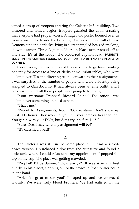joined a group of troopers entering the Galactic Info building. Two armored and armed Legion troopers guarded the door, ensuring that everyone had proper access. A huge holo poster loomed over us from a vacant lot beside the building. It showed a field full of dead Demons, under a dark sky, lying in a great tangled heap of smoking, glowing armor. Three Legion soldiers in black armor stood off to one side, E's at the ready. The blood-red caption read: **PATRIOTS! ENLIST IN THE CONFREE LEGION. DO YOUR PART TO DEFEND THE PEOPLE OF CONFREE.**

Once inside, I joined a mob of troopers in a large foyer waiting patiently for access to a line of clerks at makeshift tables, who were looking over ID's and directing people onward to their assignments. I was surprised at the number of people who were evidently being assigned to Galactic Info. It had always been an elite outfit, and I was unsure what all these people were going to be doing.

"Your warname Prophet? Richard Rains?" The official was looking over something on his d-screen.

"That's me."

"Report to Assignments, Room 3302 upstairs. Don't show up until 1115 hours. They won't let you in if you come earlier than that. You get in with your DNA, but don't try it before 1115."

"Sure. Does it say what my assignment will be?"

"It's classified. Next!"

#### Δ

The cafeteria was still in the same place, but it was a scaleddown version. I purchased a dox from the autoserve and found a little table where I could relax until my appointment. I popped the top on my cup. The place was getting crowded.

"Prophet! I'll be damned! How are ya?" It was Arie, my best buddy, in his blacks, stepping out of the crowd, a frosty water bottle in one hand.

"Arie! It's great to see you!" I leaped up and we embraced warmly. We were truly blood brothers. We had enlisted in the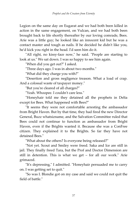Legion on the same day on Eugarat and we had both been killed in action in the same engagement, on Vulcan, and we had both been brought back to life shortly thereafter by our loving comrade, Bees. Arie was a little guy; he looked like an innocent kid but he was a contact master and tough as nails. If he decided he didn't like you, he'd kick you right in the head. I'd seen him do it.

"All right, no kissy-face now," he said. "People are starting to look at us." We sat down. I was so happy to see him again.

"When did you get out?" I asked.

"Three days ago. I was in about two months."

"What did they charge you with?"

"Desertion and gross negligence treason. What a load of crap. And a colossal waste of taxpayer money."

"But you're cleared of all charges?"

"Yeah. Whoopee. I couldn't care less."

"Honeyhair told me they detained all the prophets in Delta except for Bees. What happened with Bees?"

"It seems they were not comfortable arresting the ambassador from Bright Haven. But by that time, they had fired the new Director General, Buzz whatsizname, and the Salvation Committee ruled that Bees could not continue to function as ambassador from Bright Haven, even if the Brights wanted it. Because she was a ConFree citizen. They explained it to the Brights. So far they have not detained Bees."

"What about the others? Is everyone being released?"

"Not yet. Scout and Smiley were freed. Saka and Ice are still in jail. They finally freed Tara, but the Prof and Doctor Dimension are still in detention. This is what we get – for all our work." Arie grimaced.

"It's depressing," I admitted. "Honeyhair persuaded me to carry on. I was getting set to quit."

"So was I. Blondie got on my case and said we could not quit the field of battle."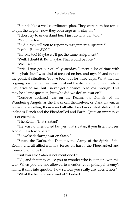"Sounds like a well-coordinated plan. They were both hot for us to quit the Legion, now they both urge us to stay on."

"I don't try to understand her. I just do what I'm told."

"Yeah, me too."

"So did they tell you to report to Assignments, upstairs?"

"Yeah – Room 3302."

"Ha! Me too! Maybe we'll get the same assignment."

"Well, I doubt it. But maybe. That would be nice."

"We'll see."

"Arie. I just got out of jail yesterday. I spent a lot of time with Honeyhair, but I was kind of focused on her, and myself, and not on the political situation. You've been out for three days. What the hell is going on? I remember hearing about the declaration of war, before they arrested me, but I never got a chance to follow through. This may be a lame question, but who did we declare war on?"

"ConFree declared war on the Realm, the Domain of the Wandering Angels, as the Darks call themselves, or Dark Haven, as we are now calling them – and all allied and associated states. That includes Deneb and the PherdanFed and Earth. Quite an impressive list of enemies."

"The Realm. That's Satan!"

"He was not mentioned but yes, that's Satan, if you listen to Bees. And quite a few others."

"So we're declaring war on Satan."

"Satan, the Darks, the Demons, the Army of the Spirit of the Realm, and all allied military forces on Earth, the PherdanFed and Deneb. Should be fun."

"But you said Satan is not mentioned?"

"No, and that may cause you to wonder who is going to win this war. When you are not allowed to mention your principal enemy's name, it calls into question how serious you really are, does it not?"

"What the hell are we afraid of?" I asked.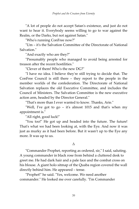"A lot of people do not accept Satan's existence, and just do not want to hear it. Everybody seems willing to go to war against the Realm, or the Darks, but not against Satan."

"Who's running ConFree now?"

"Um – it's the Salvation Committee of the Directorate of National Salvation."

"And exactly who are they?"

"Presumably people who managed to avoid being arrested for treason after the recent hostilities."

"Clever of them! Who's the new DG?"

"I have no idea. I believe they're still trying to decide that. The ConFree Council is still there – they report to the people in the member worlds of the confederation. The Directorate of National Salvation replaces the old Executive Committee, and includes the Council of Ministers. The Salvation Committee is the new executive action arm, headed by the Director General."

"That's more than I ever wanted to know. Thanks, Arie."

"Well, I've got to go – it's almost 1015 and that's when my appointment is."

"All right, good luck!"

"You too!" He got up and headed into the future. The future! That's what we had been looking at, with the Eye. And now it was just as murky as it had been before. But it wasn't up to the Eye any more. It was up to us.

#### Δ

"Commander Prophet, reporting as ordered, sir," I said, saluting. A young commander in black rose from behind a cluttered desk to greet me. He had dark hair and a pale face and the combat cross on his blouse. A giant holo sitmap of the Quaba region covered the wall directly behind him. He appeared – tense.

"Prophet!" he said. "Yes, welcome. We need another commander." He looked me over carefully. "I'm Commander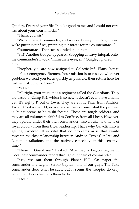Quigley. I've read your file. It looks good to me, and I could not care less about your court martial."

"Thank you, sir."

"We're at war, Commander, and we need every man. Right now we're putting out fires, prepping our forces for the counterattack."

Counterattack! That sure sounded good to me.

"Sir!" Another trooper appeared, dropping a heavy infopak onto the commander's in-box. "Immediate eyes, sir." Quigley ignored him.

"Prophet, you are now assigned to Galactic Info Plans. You're one of our emergency firemen. Your mission is to resolve whatever problem we send you to, as quickly as possible, then return here for further instructions. Clear?"

"Yes sir."

"All right, your mission is a regiment called the Guardians. They are based at Camp 802, which is so new it doesn't even have a name yet. It's eighty K out of town. They are ethnic Taka, from Andrion Two, a ConFree world, as you know. I'm not sure what the problem is, but it seems to be multi-faceted. These are tough soldiers, and they are all volunteers, faithful to ConFree, from all I hear. However, they operate under their own commander, also a Taka, and he is of royal blood – from their tribal leadership. That's why Galactic Info is getting involved. It is vital that no problems arise that would threaten the close relationship between Andrion Two's ConFree and Legion installations and the natives, especially at this sensitive time."

"These ... Guardians," I asked. "Are they a Legion regiment? Does their commander report through our chain of command?"

"Yes, we ran them through Planet Hell. On paper the commander is a Legion Senior Captain, one of our guys. The Taka commander does what he says. But it seems the troopies do only what their Taka chief tells them to do."

"I see."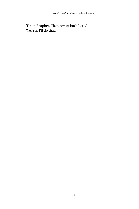"Fix it, Prophet. Then report back here." "Yes sir. I'll do that."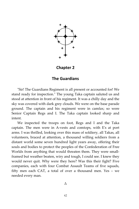

**Chapter 2** 

#### **The Guardians**

"Sir! The Guardians Regiment is all present or accounted for! We stand ready for inspection." The young Taka captain saluted us and stood at attention in front of his regiment. It was a chilly day and the sky was covered with dark grey clouds. We were on the base parade ground. The captain and his regiment were in camfax; so were Senior Captain Regs and I. The Taka captain looked sharp and intent.

We inspected the troops on foot, Regs and I and the Taka captain. The men were in A-vests and comtops, with E's at port arms. I was thrilled, looking over this mass of soldiery, all Takas, all volunteers, braced at attention, a thousand willing soldiers from a distant world some seven hundred light years away, offering their souls and bodies to protect the peoples of the Confederation of Free Worlds from anything that would threaten them. They were smallframed but weather beaten, wiry and tough, I could see. I knew they would never quit. Why were they here? Was this their fight? Five companies, each with four Combat Assault Teams of five squads, fifty men each CAT, a total of over a thousand men. Yes – we needed every man.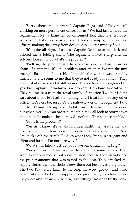"Sorry about the quarters," Captain Regs said. "They're still working on more permanent offices for us." We had just entered the regimental Hqs, a large tempo officemod tent that was crowded with field desks and d-screens and holo tacmap generators and officers making their way from desk to desk over a muddy floor.

"It's quite all right," I said as Captain Regs sat at his desk and offered me a folding chair. "The regiment looked sharp and the soldiers looked fit. So what's the problem?"

"Well sir, the problem is a lack of discipline, and an improper chain of command. It's one problem after another. We ran the unit through Basic and Planet Hell but with the war it was probably hurried, and it seems to me that they're not ready for combat. They are a tribal society and it still shows. The soldiers are tough and fit, yes, but Captain Stormdawn is a problem. He's hard to deal with. They tell me he's from the royal family of Andrion Two but I don't care about that. He's had the training, and I treat him like any other officer. He's here because he's the native leader of the regiment, but I am the CO and he's supposed to take his orders from me. He does, but whenever I give an order to the unit, they all look to Stormdawn and unless he nods his head, they do nothing. That's unacceptable."

"So he is the problem?"

"Yes sir. I know, it's an all-volunteer outfit, they assure me, and it's his regiment. Those were the political decisions we made. And I'm stuck with the result. He does what I say, but he's arrogant and silent and hostile. I'm not sure why."

"What's this latest dust-up, you have some Taka in the brig?"

"Yes sir. Two of them wanted to exchange some rations. They went to the warehouse but were refused because they already had the proper amount that was issued to the unit. They attacked the supply clerks, then the clerks threw them out but it was a big brawl. The two Taka were taken to the brig, the word got out and three other Taka attacked some supply folks, presumably to retaliate, and they were also thrown in the brig. Everything was done by the book.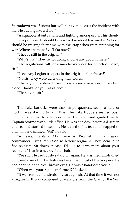Stormdawn was furious but will not even discuss the incident with me. He's acting like a child."

"A squabble about rations and fighting among units. This should not be a problem. It should be resolved in about five marks. Nobody should be wasting their time with this crap when we're prepping for war. Where are these five Taka now?"

"They're still in the brig, sir."

"Why's that? They're not doing anyone any good in there."

"The regulations call for a mandatory week for breach of peace, sir."

"I see. Any Legion troopers in the brig from that fracas?"

"No sir. They were defending themselves."

"Thank you, Captain. I'll see this – Stormdawn – now. I'll see him alone. Thanks for your assistance."

"Thank you, sir."

#### Δ

The Taka barracks were also tempo quarters, set in a field of mud. It was starting to rain. Fine. The Taka troopers seemed busy but they snapped to attention when I entered and guided me to Captain Stormdawn's little office. He was at a desk before a d-screen and seemed startled to see me. He leaped to his feet and snapped to attention and saluted. "Sir!" he said.

"At ease, Captain. My name is Prophet. I'm a Legion commander. I was impressed with your regiment. They seem to be fine soldiers. Sit down, please. I'd like to learn more about your regiment." I sat in a nearby field chair.

"Yes sir." He cautiously sat down again. He was medium-framed but clearly very fit. His flesh was fairer than most of his troopers. He had dark hair and clear brown eyes. He was a handsome youth.

"When was your regiment formed?" I asked.

"It was formed hundreds of years ago, sir. At that time it was not a regiment. It was composed of warriors from the Clan of the Sun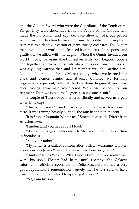and the Golden Sword who were the Guardians of the Tomb of the Kings. They were descended from the People of the Clouds, who made the Far March and kept our race alive. By 312, our people were nearing extinction because of a suicidal political philosophy in response to a deadly invasion of giant exoseg creatures. The Legion then invaded our world and cleansed it of the exos. In response and gratitude, we allied with the Legion. When the Omnis invaded our world in 328, we again allied ourselves with your Legion troopers and together we drove those vile alien invaders from our lands. I was a young warrior then and I remember well the sacrifices the Legion soldiers made for us. More recently, when we learned that Dark and Demon armies had attacked ConFree, we formally organized a regiment, called it the Guardians Regiment, and most every young Taka male volunteered. We chose the best for our regiment. Then we joined the Legion, as a volunteer unit."

A couple of Taka troopers entered silently and served us a pale tea in little cups.

"This is delicious," I said. It was light and clear with a pleasing taste. It was raining heavily outside, the rain beating on the tent.

"It is Stone Mountain Winter tea," Stormdawn said. "Direct from Andrion Two."

"I understand you have royal blood."

"My mother is Queen Moontouch. She has united all Taka clans in friendship."

"And your father?"

"My father is a Galactic Information officer, warname Thinker, also known as James Wester. He is assigned here on Quaba."

"Thinker? James Wester? Why, I know him! I did not realize you were his son." Wester had been, until recently, the Galactic Information official responsible for Delta Research. He had a very good reputation. I remembered vaguely that he was said to have three wives and had helped to open up Andrion 2.

"Yes, I am his son."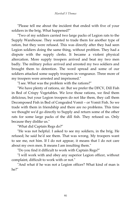"Please tell me about the incident that ended with five of your soldiers in the brig. What happened?"

"Two of my soldiers carried two large packs of Legion rats to the Supply Warehouse. They wanted to trade them for another type of ration, but they were refused. This was directly after they had seen Legion soldiers doing the same thing, without problem. They had a dispute with the supply clerks. It became a violent physical altercation. More supply troopers arrived and beat my two men badly. The military police arrived and arrested my two soldiers and brought them to detention. The word spread and some of our soldiers attacked some supply troopers in vengeance. Three more of my troopers were arrested and imprisoned."

"I see. What was the problem with the rations?"

"We have plenty of rations, sir. But we prefer the DFCV, Dill Fish in Bed of Crispy Vegetables. We love those rations, we find them delicious, but your Legion troopers do not like them, they call them Decomposed Fish in Bed of Congealed Vomit – or Vomit Fish. So we trade with them in friendship and there are no problems. This time we thought we'd go directly to Supply and return some of the other rats for some large packs of the dill fish. They refused us. Only because they dislike us."

"What did Captain Regs do?"

"He was not helpful. I asked to see my soldiers, in the brig. He refused; he said he'd see them. That was wrong. My troopers want to see me, not him. If I do not appear, it means that I do not care about my own men. It means I am insulting them."

"Do you find it difficult to work with Captain Regs?"

"I will work with and obey any superior Legion officer, without complaint, difficult to work with or not."

"And what if he was not a Legion officer? What kind of man is he?"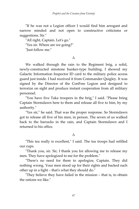"If he was not a Legion officer I would find him arrogant and narrow minded and not open to constructive criticisms or suggestions. Sir."

"All right, Captain. Let's go."

"Yes sir. Where are we going?"

"Just follow me."

#### Δ

We walked through the rain to the Regiment brig, a solid, newly-constructed simstone bunker-type building. I showed my Galactic Information Inspector ID card to the military police access guard just inside. I had received it from Commander Quigley. It was signed by the Director of the ConFree Legion and designed to terrorize on sight and produce instant cooperation from all military personnel.

"You have five Taka troopers in the brig," I said. "Please bring Captain Stormdawn here to them and release all five to him, by my authority."

"Yes sir," he said. That was the proper response. So Stormdawn got to release all five of his men, in person. The seven of us walked back to the barracks in the rain, and Captain Stormdawn and I returned to his office.

#### Δ

"This tea really is excellent," I said. The tea troops had refilled our cups.

"Thank you, sir. Sir, I thank you for allowing me to release my men. They have apologized to me for the problem."

"There's no need for them to apologize, Captain. They did nothing wrong. Your men stood up for their rights and backed each other up in a fight – that's what they should do."

"They believe they have failed in the mission – that is, to obtain the rations we like."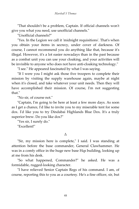"That shouldn't be a problem, Captain. If official channels won't give you what you need, use unofficial channels."

"Unofficial channels?"

"Yes. In the Legion we call it 'midnight requisitions'. That's when you obtain your items in secrecy, under cover of darkness. Of course, I cannot recommend you do anything like that, because it's illegal. However, it's a lot easier nowadays than in the past because as a combat unit you can use your cloaking, and your activities will be invisible to anyone who does not have anti-cloaking technology."

"I see." He appeared fascinated by what I was saying.

"If I were you I might ask those five troopers to complete their mission by visiting the supply warehouse again, maybe at night when it's closed, and take whatever your unit needs. Then they will have accomplished their mission. Of course, I'm not suggesting that."

"No sir, of course not."

"Captain, I'm going to be here at least a few more days. As soon as I get a chance, I'd like to invite you to my miserable tent for some dox. I'd like you to try Dindabai Highlands Blue Dox. It's a truly superior brew. Do you like dox?"

"Yes sir, I surely do."

"Excellent!"

#### Δ

"Sir, my mission here is complete," I said. I was standing at attention before the base commander, General Clawhammer. He was in a comfy office in the huge new base Hqs building, looking up at me from his desk.

"So what happened, Commander?" he asked. He was a formidable, rugged-looking character.

"I have relieved Senior Captain Regs of his command. I am, of course, reporting this to you as a courtesy. He's a fine officer, sir, but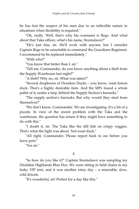he has lost the respect of his men due to an inflexible nature in situations when flexibility is required."

"Oh, really. Well, that's why his warname is Regs. And what about that Taka officer, what's his name, Stormdawn?"

"He's just fine, sir. He'll work with anyone, but I consider Captain Regs to be unsuitable to command the Guardians Regiment. I recommend he be replaced immediately."

"With who?"

"You know that better than I, sir."

"Tell me, Commander, do you know anything about a theft from the Supply Warehouse last night?"

"A theft? Why no, sir. What was taken?"

"Several dropboxes of Drunken Ducks – you know, roast lemon duck. That's a highly desirable item. And the MPs found a whole pallet of it, under a tarp, behind the Supply Section's barracks."

"The supply section's barracks. But why would they steal from themselves?"

"We don't know, Commander. We are investigating. It's a bit of a puzzle. In view of the recent problem with the Taka and the warehouse, the question has arisen if they might have something to do with this."

"I doubt it, sir. The Taka like the dill fish on crispy veggies. That's what the fight was about. Not roast duck."

"All right, Commander. Please report back to me before you leave post."

"Yes sir."

#### Δ

"So how do you like it?" Captain Stormdawn was sampling my Dindabai Highlands Blue Dox. We were sitting in field chairs in my leaky VIP tent, and it was another rainy day – a miserable, slow, cold drizzle.

"It's wonderful, sir! Perfect for a day like this."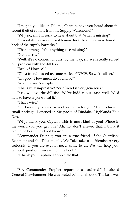"I'm glad you like it. Tell me, Captain, have you heard about the recent theft of rations from the Supply Warehouse?"

"Why no, sir. I'm sorry to hear about that. What is missing?"

"Several dropboxes of roast lemon duck. And they were found in back of the supply barracks."

"That's strange. Was anything else missing?"

"No, that's it."

"Well, it's no concern of ours. By the way, sir, we recently solved our problem with the dill fish."

"Really? How so?"

"Oh, a friend passed us some packs of DFCV. So we're all set."

"Oh good. How much do you have?"

"About a year's supply."

"That's very impressive! Your friend is very generous."

"Yes, we love the dill fish. We've hidden our stash well. We'd hate to have anyone steal it."

"That's wise."

"Sir, I recently ran across another item – for you." He produced a small package. I opened it. Six packs of Dindabai Highlands Blue Dox.

"Why, thank you, Captain! This is most kind of you! Where in the world did you get this? Ah, no, don't answer that. I think it would be best if I did not know."

"Commander Prophet, you are a true friend of the Guardians Regiment and the Taka people. We Taka take true friendship very seriously. If you are ever in need, come to us. We will help you, without question. I swear it on the Book."

"I thank you, Captain. I appreciate that."

#### Δ

"Sir, Commander Prophet reporting as ordered." I saluted General Clawhammer. He was seated behind his desk. The base was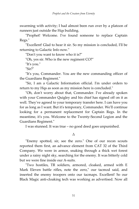swarming with activity; I had almost been run over by a platoon of runners just outside the Hqs building.

"Prophet! Welcome. I've found someone to replace Captain Regs."

"Excellent! Glad to hear it sir. So my mission is concluded, I'll be returning to Galactic Info now."

"Don't you want to know who it is?"

"Oh, yes sir. Who is the new regiment CO?"

"It's you."

"Sir?"

"It's you, Commander. You are the new commanding officer of the Guardians Regiment."

"Sir, I am a Galactic Information official. I'm under orders to return to my Hqs as soon as my mission here is concluded."

"Oh, don't worry about that, Commander. I've already spoken with your Commander Quigley and his chief has signed off on it as well. They've agreed to your temporary transfer here. I can have you for as long as I want. But it's temporary, Commander. We'll continue looking for a permanent replacement for Captain Regs. In the meantime, it's you. Welcome to the Twenty-Second Legion and the Guardians Regiment."

I was stunned. It was true – no good deed goes unpunished.

Δ

"Enemy spotted, sir, see the zero." One of our recon scouts reported them first, an advance element from CAT 32 of the Third Company. We were in armor, snaking through a thick wet forest under a rainy night sky, searching for the enemy. It was bitterly cold but we were fine inside our A-suits.

"Two hostiles, TR soldiers, armored, cloaked, armed with E Mark Eleven battle rifles, note the zero," our tacmod said, and inserted the enemy troopers onto our tacmaps. Excellent! So our Black Magic anti-cloaking tech was working as advertised. Now all

51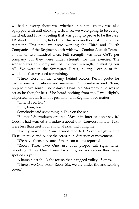we had to worry about was whether or not the enemy was also equipped with anti-cloaking tech. If so, we were going to be evenly matched, and I had a feeling that was going to prove to be the case. TR stood for Training Robot and this was another test for my new regiment. This time we were working the Third and Fourth Companies of the Regiment, each with two Combat Assault Teams, a total of two hundred men. Full strength was four CATs per company but they were under strength for this exercise. The scenario was an enemy unit of unknown strength, infiltrating our AR. We were in the Swamprot Forest, a large section of the wildlands that we used for training.

"Three, close on the enemy behind Recon, Recon probe for further enemy positions and movement," Stormdawn said. "Four, prep to move south if necessary." I had told Stormdawn he was to act as he thought best if he heard nothing from me. I was slightly dispersed, not far from his position, with Regiment. No matter.

"One, Three, ten."

"One, Four, ten."

Somebody said something in Taka on the net.

"Silence!" Stormdawn ordered. "Say it in Inter or don't say it." Good! I had warned Stormdawn about that. Conversations in Taka were less than useful for all non-Takas, including me.

"Enemy movement!" our tacmod reported. "Seven – eight – nine TR troopers, A and A, see the zeros, note direction of movement."

"We have them, sir," one of the recon troops reported.

"Recon, Three Two One, use your proper call signs when reporting. Three One, Three Two One, no indication they have spotted us yet."

A harsh blast shook the forest, then a ragged volley of xmax.

"Three Two One, Four, Recon Six, we are under fire and seeking cover."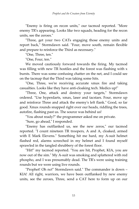"Enemy is firing on recon units," our tacmod reported. "More enemy TR's appearing. Looks like two squads, heading for the recon units, see the zeroes."

"Three, get your two CATs engaging those enemy units and report back," Stormdawn said. "Four, move south, remain flexible and prepare to reinforce the Third as necessary."

"One, Three, ten."

"One, Four, ten."

We moved cautiously forward towards the firing. My tacmod was filling with new TR hostiles and the forest was flashing with x bursts. There was some confusing chatter on the net, and I could see on the tacmap that the Third was taking some hits.

"One, Three, we're receiving accurate xmax fire and taking casualties. Looks like they have anti-cloaking tech. Medics up!"

"Three, One, attack and destroy your targets," Stormdawn ordered. "Use hyperdarts, xmax, laser and tacstars. Four, move up and reinforce Three and attack the enemy's left flank." Good, so far good. Xmax rounds snapped right over our heads, riddling the trees, autofire, flashing past us. The source was behind us!

"You about ready?" the programmer asked me on private.

"Sure, go ahead," I responded.

"Enemy has outflanked us, see the new zeros," our tacmod reported. "I count nineteen TR troopers, A and A, cloaked, armed with E Mark Elevens." Something hit me hard, my A-suit helmet flashed red, alarms screeched in my helmet and I found myself sprawled in the tangled shrubbery of the forest floor.

"Hit!" my tacmod reported. "You are hit, Prophet, KIA, you are now out of the sim." My A-suit was smoking and splattered with red phospho, and I was presumably dead. The TR's were using training rounds but we were using live rounds.

"Prophet! Oh no!" Stormdawn said." The commander is down – KIA! All right, warriors, we have been outflanked by new enemy units, see the zeroes, Three, send a CAT here to form up on our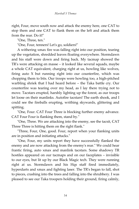right, Four, move south now and attack the enemy here, one CAT to stop them and one CAT to flank them on the left and attack them from the rear. Do it!"

"One, Three, ten."

"One, Four, tenners! Let's go, soldiers!"

A withering xmax fire was falling right into our position, tearing up the vegetation, shredded leaves floating everywhere. Stormdawn and his staff were down and firing back. My tacmap showed the TR's were attacking en masse – it looked like several squads, maybe a whole CAT equivalent, charging right at us, howling like wolves, firing auto X but running right into our counterfire, which was chopping them to bits. Our troops were howling too, a high-pitched warbling shriek that I had heard before – the Taka battle cry. Our counterfire was tearing over my head, as I lay there trying not to move. Tacstars erupted, harshly lighting up the forest, as our troops let loose on their manlinks. Autofire tacstars! The earth shook, and I could see the fireballs erupting, writhing skywards, glittering and spitting.

"One, Four. CAT Four Three is blocking further enemy advance. CAT Four Four is flanking them, stand by."

"One, Three. We are attacking into the enemy, see the tacsit, CAT Three Three is hitting them on the right flank."

"Three, Four, One, good. Four, report when your flanking units are in position and initiating attacks."

"One, Four, my units report they have successfully flanked the enemy and are now attacking from the enemy's rear." We could hear frantic firing, auto xmax and manlink tacstars. Some shadowy TR hostiles appeared on our tacmaps and on our faceplates – invisible to our eyes, but lit up by our Black Magic tech. They were running right at us. Stormdawn and his Hqs staff fired immediately, hyperdarts and xmax and fighting laser. The TR's began to fall, shot to pieces, crashing into the trees and falling into the shrubbery. I was pleased to see our Taka troopers holding their ground, firing calmly,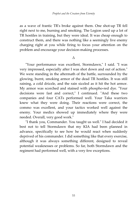as a wave of frantic TR's broke against them. One shot-up TR fell right next to me, burning and smoking. The Legion used up a lot of TR hostiles in training, but they were ideal. It was cheap enough to construct them, and there was nothing like a seemingly live enemy charging right at you while firing to focus your attention on the problem and encourage your decision-making processes.

Δ

"Your performance was excellent, Stormdawn," I said. "I was very impressed, especially after I was shot down and out of action." We were standing in the aftermath of the battle, surrounded by the glowing, burnt, smoking armor of the dead TR hostiles. It was still raining, a cold drizzle, and the rain sizzled as it hit the hot armor. My armor was scorched and stained with phospho-red dye. "Your decisions were fast and correct," I continued. "And these two companies and four CATs performed well. Your Taka warriors knew what they were doing. Their reactions were correct, the commo was excellent, and your tactics worked well against the enemy. Your medics showed up immediately where they were needed. Overall, very good work."

"I thank you, Commander. You taught us well." I had decided it best not to tell Stormdawn that my KIA had been planned in advance, specifically to see how he would react when suddenly deprived of his commander. I did something like that every exercise, although it was always something different, designed to reveal potential weaknesses or problems. So far, both Stormdawn and the regiment had performed well, with a very few exceptions.

55